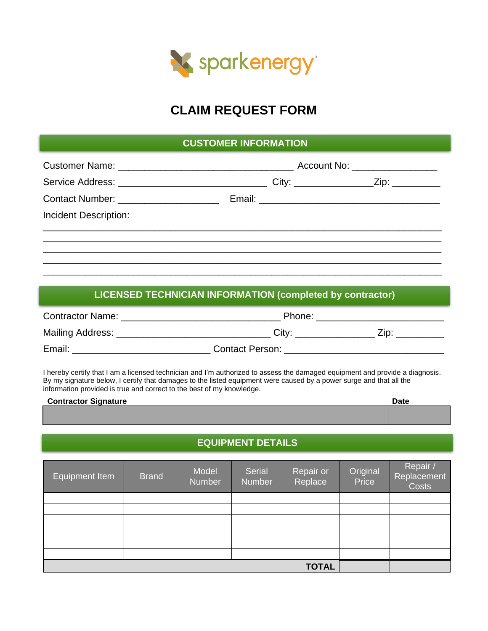

## **CLAIM REQUEST FORM**

## **CUSTOMER INFORMATION**

| Incident Description: |  |  |
|-----------------------|--|--|
|                       |  |  |
|                       |  |  |
|                       |  |  |

## **LICENSED TECHNICIAN INFORMATION (completed by contractor)**

| <b>Contractor Name:</b> | Phone:                 |     |  |  |
|-------------------------|------------------------|-----|--|--|
| Mailing Address:        | City:                  | ∕in |  |  |
| Email:                  | <b>Contact Person:</b> |     |  |  |

I hereby certify that I am a licensed technician and I'm authorized to assess the damaged equipment and provide a diagnosis. By my signature below, I certify that damages to the listed equipment were caused by a power surge and that all the information provided is true and correct to the best of my knowledge.

| <b>Contractor Signature</b> | Date |
|-----------------------------|------|
|                             |      |
|                             |      |

## **EQUIPMENT DETAILS**

| Equipment Item <sup>1</sup> | <b>Brand</b> | Model<br><b>Number</b> | Serial<br>Number | Repair or<br>Replace | Original<br>Price | Repair /<br>Replacement<br>Costs |
|-----------------------------|--------------|------------------------|------------------|----------------------|-------------------|----------------------------------|
|                             |              |                        |                  |                      |                   |                                  |
|                             |              |                        |                  |                      |                   |                                  |
|                             |              |                        |                  |                      |                   |                                  |
|                             |              |                        |                  |                      |                   |                                  |
|                             |              |                        |                  |                      |                   |                                  |
|                             |              |                        |                  |                      |                   |                                  |
|                             |              |                        |                  | <b>TOTAL</b>         |                   |                                  |